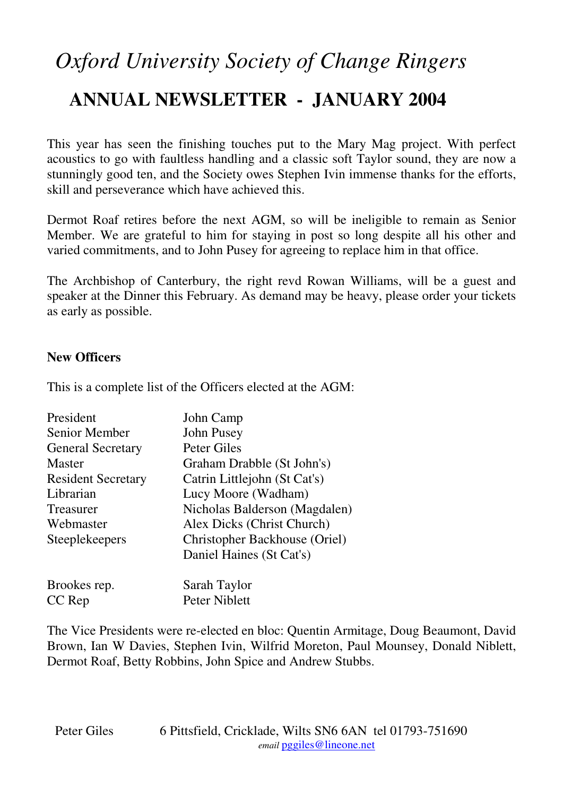# *Oxford University Society of Change Ringers*

# **ANNUAL NEWSLETTER - JANUARY 2004**

This year has seen the finishing touches put to the Mary Mag project. With perfect acoustics to go with faultless handling and a classic soft Taylor sound, they are now a stunningly good ten, and the Society owes Stephen Ivin immense thanks for the efforts, skill and perseverance which have achieved this.

Dermot Roaf retires before the next AGM, so will be ineligible to remain as Senior Member. We are grateful to him for staying in post so long despite all his other and varied commitments, and to John Pusey for agreeing to replace him in that office.

The Archbishop of Canterbury, the right revd Rowan Williams, will be a guest and speaker at the Dinner this February. As demand may be heavy, please order your tickets as early as possible.

#### **New Officers**

This is a complete list of the Officers elected at the AGM:

| President                 | John Camp                     |
|---------------------------|-------------------------------|
| Senior Member             | John Pusey                    |
| <b>General Secretary</b>  | <b>Peter Giles</b>            |
| <b>Master</b>             | Graham Drabble (St John's)    |
| <b>Resident Secretary</b> | Catrin Littlejohn (St Cat's)  |
| Librarian                 | Lucy Moore (Wadham)           |
| Treasurer                 | Nicholas Balderson (Magdalen) |
| Webmaster                 | Alex Dicks (Christ Church)    |
| Steeplekeepers            | Christopher Backhouse (Oriel) |
|                           | Daniel Haines (St Cat's)      |
| Brookes rep.              | Sarah Taylor                  |

CC Rep Peter Niblett

The Vice Presidents were re-elected en bloc: Quentin Armitage, Doug Beaumont, David Brown, Ian W Davies, Stephen Ivin, Wilfrid Moreton, Paul Mounsey, Donald Niblett, Dermot Roaf, Betty Robbins, John Spice and Andrew Stubbs.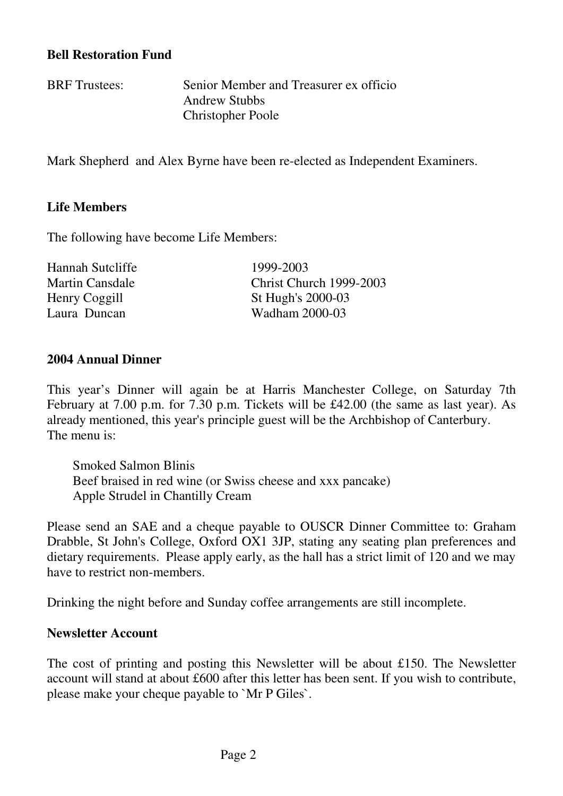#### **Bell Restoration Fund**

BRF Trustees: Senior Member and Treasurer ex officio Andrew Stubbs Christopher Poole

Mark Shepherd and Alex Byrne have been re-elected as Independent Examiners.

# **Life Members**

The following have become Life Members:

| Hannah Sutcliffe       | 1999-2003               |
|------------------------|-------------------------|
| <b>Martin Cansdale</b> | Christ Church 1999-2003 |
| Henry Coggill          | St Hugh's 2000-03       |
| Laura Duncan           | Wadham 2000-03          |

#### **2004 Annual Dinner**

This year's Dinner will again be at Harris Manchester College, on Saturday 7th February at 7.00 p.m. for 7.30 p.m. Tickets will be £42.00 (the same as last year). As already mentioned, this year's principle guest will be the Archbishop of Canterbury. The menu is:

Smoked Salmon Blinis Beef braised in red wine (or Swiss cheese and xxx pancake) Apple Strudel in Chantilly Cream

Please send an SAE and a cheque payable to OUSCR Dinner Committee to: Graham Drabble, St John's College, Oxford OX1 3JP, stating any seating plan preferences and dietary requirements. Please apply early, as the hall has a strict limit of 120 and we may have to restrict non-members.

Drinking the night before and Sunday coffee arrangements are still incomplete.

# **Newsletter Account**

The cost of printing and posting this Newsletter will be about £150. The Newsletter account will stand at about £600 after this letter has been sent. If you wish to contribute, please make your cheque payable to `Mr P Giles`.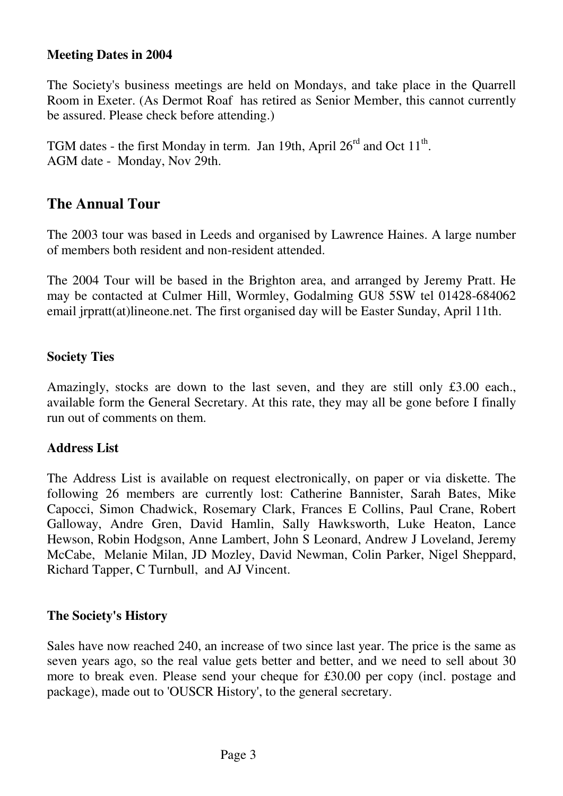#### **Meeting Dates in 2004**

The Society's business meetings are held on Mondays, and take place in the Quarrell Room in Exeter. (As Dermot Roaf has retired as Senior Member, this cannot currently be assured. Please check before attending.)

TGM dates - the first Monday in term. Jan 19th, April  $26<sup>rd</sup>$  and Oct  $11<sup>th</sup>$ . AGM date - Monday, Nov 29th.

# **The Annual Tour**

The 2003 tour was based in Leeds and organised by Lawrence Haines. A large number of members both resident and non-resident attended.

The 2004 Tour will be based in the Brighton area, and arranged by Jeremy Pratt. He may be contacted at Culmer Hill, Wormley, Godalming GU8 5SW tel 01428-684062 email jrpratt(at)lineone.net. The first organised day will be Easter Sunday, April 11th.

#### **Society Ties**

Amazingly, stocks are down to the last seven, and they are still only £3.00 each., available form the General Secretary. At this rate, they may all be gone before I finally run out of comments on them.

#### **Address List**

The Address List is available on request electronically, on paper or via diskette. The following 26 members are currently lost: Catherine Bannister, Sarah Bates, Mike Capocci, Simon Chadwick, Rosemary Clark, Frances E Collins, Paul Crane, Robert Galloway, Andre Gren, David Hamlin, Sally Hawksworth, Luke Heaton, Lance Hewson, Robin Hodgson, Anne Lambert, John S Leonard, Andrew J Loveland, Jeremy McCabe, Melanie Milan, JD Mozley, David Newman, Colin Parker, Nigel Sheppard, Richard Tapper, C Turnbull, and AJ Vincent.

#### **The Society's History**

Sales have now reached 240, an increase of two since last year. The price is the same as seven years ago, so the real value gets better and better, and we need to sell about 30 more to break even. Please send your cheque for £30.00 per copy (incl. postage and package), made out to 'OUSCR History', to the general secretary.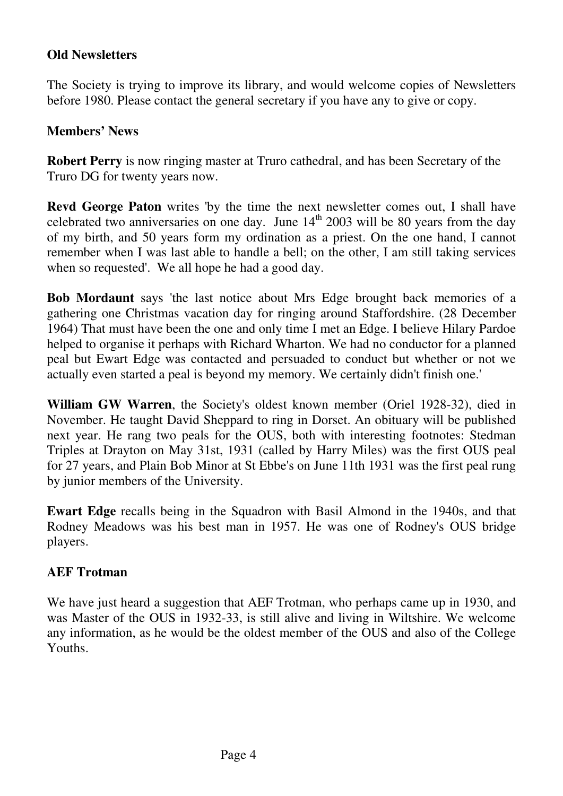#### **Old Newsletters**

The Society is trying to improve its library, and would welcome copies of Newsletters before 1980. Please contact the general secretary if you have any to give or copy.

#### **Members' News**

**Robert Perry** is now ringing master at Truro cathedral, and has been Secretary of the Truro DG for twenty years now.

**Revd George Paton** writes 'by the time the next newsletter comes out, I shall have celebrated two anniversaries on one day. June  $14<sup>th</sup>$  2003 will be 80 years from the day of my birth, and 50 years form my ordination as a priest. On the one hand, I cannot remember when I was last able to handle a bell; on the other, I am still taking services when so requested'. We all hope he had a good day.

**Bob Mordaunt** says 'the last notice about Mrs Edge brought back memories of a gathering one Christmas vacation day for ringing around Staffordshire. (28 December 1964) That must have been the one and only time I met an Edge. I believe Hilary Pardoe helped to organise it perhaps with Richard Wharton. We had no conductor for a planned peal but Ewart Edge was contacted and persuaded to conduct but whether or not we actually even started a peal is beyond my memory. We certainly didn't finish one.'

**William GW Warren**, the Society's oldest known member (Oriel 1928-32), died in November. He taught David Sheppard to ring in Dorset. An obituary will be published next year. He rang two peals for the OUS, both with interesting footnotes: Stedman Triples at Drayton on May 31st, 1931 (called by Harry Miles) was the first OUS peal for 27 years, and Plain Bob Minor at St Ebbe's on June 11th 1931 was the first peal rung by junior members of the University.

**Ewart Edge** recalls being in the Squadron with Basil Almond in the 1940s, and that Rodney Meadows was his best man in 1957. He was one of Rodney's OUS bridge players.

# **AEF Trotman**

We have just heard a suggestion that AEF Trotman, who perhaps came up in 1930, and was Master of the OUS in 1932-33, is still alive and living in Wiltshire. We welcome any information, as he would be the oldest member of the OUS and also of the College Youths.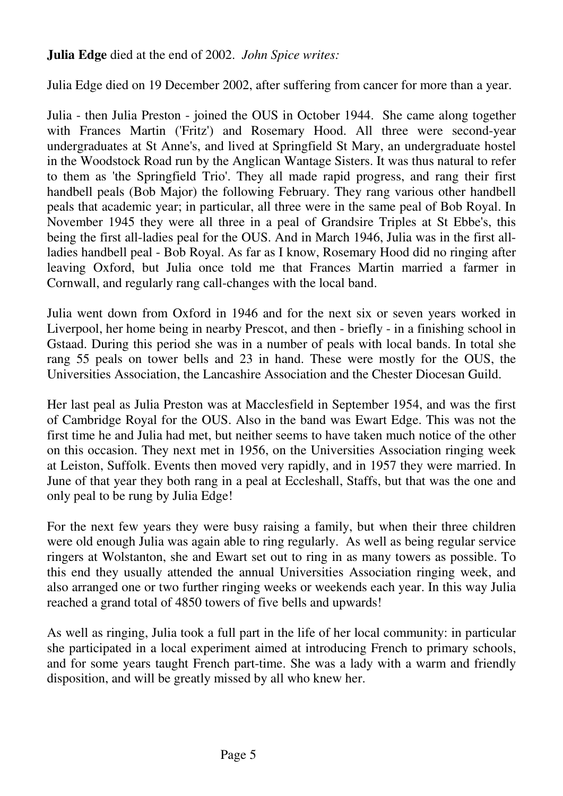# **Julia Edge** died at the end of 2002. *John Spice writes:*

Julia Edge died on 19 December 2002, after suffering from cancer for more than a year.

Julia - then Julia Preston - joined the OUS in October 1944. She came along together with Frances Martin ('Fritz') and Rosemary Hood. All three were second-year undergraduates at St Anne's, and lived at Springfield St Mary, an undergraduate hostel in the Woodstock Road run by the Anglican Wantage Sisters. It was thus natural to refer to them as 'the Springfield Trio'. They all made rapid progress, and rang their first handbell peals (Bob Major) the following February. They rang various other handbell peals that academic year; in particular, all three were in the same peal of Bob Royal. In November 1945 they were all three in a peal of Grandsire Triples at St Ebbe's, this being the first all-ladies peal for the OUS. And in March 1946, Julia was in the first allladies handbell peal - Bob Royal. As far as I know, Rosemary Hood did no ringing after leaving Oxford, but Julia once told me that Frances Martin married a farmer in Cornwall, and regularly rang call-changes with the local band.

Julia went down from Oxford in 1946 and for the next six or seven years worked in Liverpool, her home being in nearby Prescot, and then - briefly - in a finishing school in Gstaad. During this period she was in a number of peals with local bands. In total she rang 55 peals on tower bells and 23 in hand. These were mostly for the OUS, the Universities Association, the Lancashire Association and the Chester Diocesan Guild.

Her last peal as Julia Preston was at Macclesfield in September 1954, and was the first of Cambridge Royal for the OUS. Also in the band was Ewart Edge. This was not the first time he and Julia had met, but neither seems to have taken much notice of the other on this occasion. They next met in 1956, on the Universities Association ringing week at Leiston, Suffolk. Events then moved very rapidly, and in 1957 they were married. In June of that year they both rang in a peal at Eccleshall, Staffs, but that was the one and only peal to be rung by Julia Edge!

For the next few years they were busy raising a family, but when their three children were old enough Julia was again able to ring regularly. As well as being regular service ringers at Wolstanton, she and Ewart set out to ring in as many towers as possible. To this end they usually attended the annual Universities Association ringing week, and also arranged one or two further ringing weeks or weekends each year. In this way Julia reached a grand total of 4850 towers of five bells and upwards!

As well as ringing, Julia took a full part in the life of her local community: in particular she participated in a local experiment aimed at introducing French to primary schools, and for some years taught French part-time. She was a lady with a warm and friendly disposition, and will be greatly missed by all who knew her.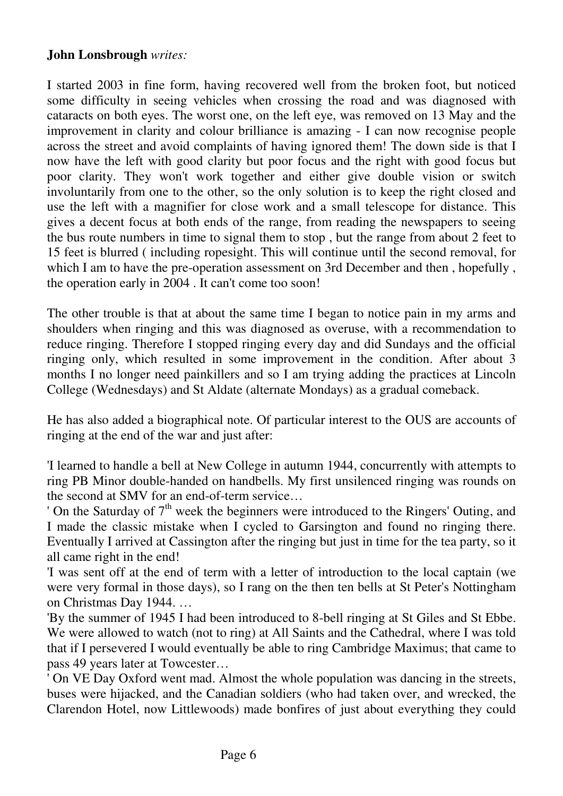# **John Lonsbrough** *writes:*

I started 2003 in fine form, having recovered well from the broken foot, but noticed some difficulty in seeing vehicles when crossing the road and was diagnosed with cataracts on both eyes. The worst one, on the left eye, was removed on 13 May and the improvement in clarity and colour brilliance is amazing - I can now recognise people across the street and avoid complaints of having ignored them! The down side is that I now have the left with good clarity but poor focus and the right with good focus but poor clarity. They won't work together and either give double vision or switch involuntarily from one to the other, so the only solution is to keep the right closed and use the left with a magnifier for close work and a small telescope for distance. This gives a decent focus at both ends of the range, from reading the newspapers to seeing the bus route numbers in time to signal them to stop , but the range from about 2 feet to 15 feet is blurred ( including ropesight. This will continue until the second removal, for which I am to have the pre-operation assessment on 3rd December and then , hopefully , the operation early in 2004 . It can't come too soon!

The other trouble is that at about the same time I began to notice pain in my arms and shoulders when ringing and this was diagnosed as overuse, with a recommendation to reduce ringing. Therefore I stopped ringing every day and did Sundays and the official ringing only, which resulted in some improvement in the condition. After about 3 months I no longer need painkillers and so I am trying adding the practices at Lincoln College (Wednesdays) and St Aldate (alternate Mondays) as a gradual comeback.

He has also added a biographical note. Of particular interest to the OUS are accounts of ringing at the end of the war and just after:

'I learned to handle a bell at New College in autumn 1944, concurrently with attempts to ring PB Minor double-handed on handbells. My first unsilenced ringing was rounds on the second at SMV for an end-of-term service…

' On the Saturday of  $7<sup>th</sup>$  week the beginners were introduced to the Ringers' Outing, and I made the classic mistake when I cycled to Garsington and found no ringing there. Eventually I arrived at Cassington after the ringing but just in time for the tea party, so it all came right in the end!

'I was sent off at the end of term with a letter of introduction to the local captain (we were very formal in those days), so I rang on the then ten bells at St Peter's Nottingham on Christmas Day 1944. …

'By the summer of 1945 I had been introduced to 8-bell ringing at St Giles and St Ebbe. We were allowed to watch (not to ring) at All Saints and the Cathedral, where I was told that if I persevered I would eventually be able to ring Cambridge Maximus; that came to pass 49 years later at Towcester…

' On VE Day Oxford went mad. Almost the whole population was dancing in the streets, buses were hijacked, and the Canadian soldiers (who had taken over, and wrecked, the Clarendon Hotel, now Littlewoods) made bonfires of just about everything they could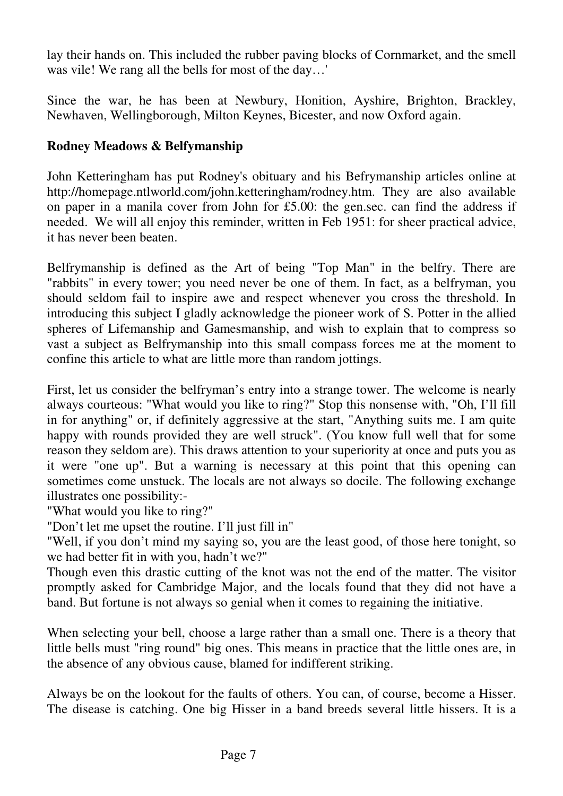lay their hands on. This included the rubber paving blocks of Cornmarket, and the smell was vile! We rang all the bells for most of the day…'

Since the war, he has been at Newbury, Honition, Ayshire, Brighton, Brackley, Newhaven, Wellingborough, Milton Keynes, Bicester, and now Oxford again.

# **Rodney Meadows & Belfymanship**

John Ketteringham has put Rodney's obituary and his Befrymanship articles online at http://homepage.ntlworld.com/john.ketteringham/rodney.htm. They are also available on paper in a manila cover from John for £5.00: the gen.sec. can find the address if needed. We will all enjoy this reminder, written in Feb 1951: for sheer practical advice, it has never been beaten.

Belfrymanship is defined as the Art of being "Top Man" in the belfry. There are "rabbits" in every tower; you need never be one of them. In fact, as a belfryman, you should seldom fail to inspire awe and respect whenever you cross the threshold. In introducing this subject I gladly acknowledge the pioneer work of S. Potter in the allied spheres of Lifemanship and Gamesmanship, and wish to explain that to compress so vast a subject as Belfrymanship into this small compass forces me at the moment to confine this article to what are little more than random jottings.

First, let us consider the belfryman's entry into a strange tower. The welcome is nearly always courteous: "What would you like to ring?" Stop this nonsense with, "Oh, I'll fill in for anything" or, if definitely aggressive at the start, "Anything suits me. I am quite happy with rounds provided they are well struck". (You know full well that for some reason they seldom are). This draws attention to your superiority at once and puts you as it were "one up". But a warning is necessary at this point that this opening can sometimes come unstuck. The locals are not always so docile. The following exchange illustrates one possibility:-

"What would you like to ring?"

"Don't let me upset the routine. I'll just fill in"

"Well, if you don't mind my saying so, you are the least good, of those here tonight, so we had better fit in with you, hadn't we?"

Though even this drastic cutting of the knot was not the end of the matter. The visitor promptly asked for Cambridge Major, and the locals found that they did not have a band. But fortune is not always so genial when it comes to regaining the initiative.

When selecting your bell, choose a large rather than a small one. There is a theory that little bells must "ring round" big ones. This means in practice that the little ones are, in the absence of any obvious cause, blamed for indifferent striking.

Always be on the lookout for the faults of others. You can, of course, become a Hisser. The disease is catching. One big Hisser in a band breeds several little hissers. It is a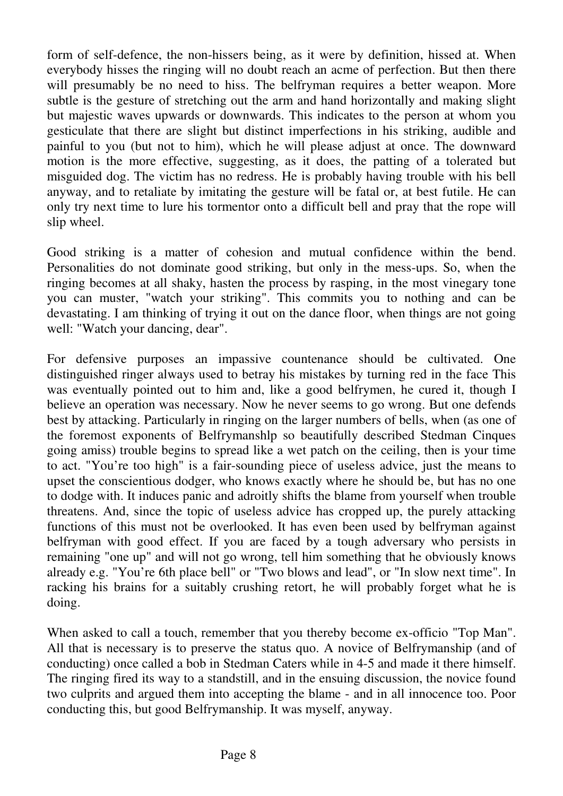form of self-defence, the non-hissers being, as it were by definition, hissed at. When everybody hisses the ringing will no doubt reach an acme of perfection. But then there will presumably be no need to hiss. The belfryman requires a better weapon. More subtle is the gesture of stretching out the arm and hand horizontally and making slight but majestic waves upwards or downwards. This indicates to the person at whom you gesticulate that there are slight but distinct imperfections in his striking, audible and painful to you (but not to him), which he will please adjust at once. The downward motion is the more effective, suggesting, as it does, the patting of a tolerated but misguided dog. The victim has no redress. He is probably having trouble with his bell anyway, and to retaliate by imitating the gesture will be fatal or, at best futile. He can only try next time to lure his tormentor onto a difficult bell and pray that the rope will slip wheel.

Good striking is a matter of cohesion and mutual confidence within the bend. Personalities do not dominate good striking, but only in the mess-ups. So, when the ringing becomes at all shaky, hasten the process by rasping, in the most vinegary tone you can muster, "watch your striking". This commits you to nothing and can be devastating. I am thinking of trying it out on the dance floor, when things are not going well: "Watch your dancing, dear".

For defensive purposes an impassive countenance should be cultivated. One distinguished ringer always used to betray his mistakes by turning red in the face This was eventually pointed out to him and, like a good belfrymen, he cured it, though I believe an operation was necessary. Now he never seems to go wrong. But one defends best by attacking. Particularly in ringing on the larger numbers of bells, when (as one of the foremost exponents of Belfrymanshlp so beautifully described Stedman Cinques going amiss) trouble begins to spread like a wet patch on the ceiling, then is your time to act. "You're too high" is a fair-sounding piece of useless advice, just the means to upset the conscientious dodger, who knows exactly where he should be, but has no one to dodge with. It induces panic and adroitly shifts the blame from yourself when trouble threatens. And, since the topic of useless advice has cropped up, the purely attacking functions of this must not be overlooked. It has even been used by belfryman against belfryman with good effect. If you are faced by a tough adversary who persists in remaining "one up" and will not go wrong, tell him something that he obviously knows already e.g. "You're 6th place bell" or "Two blows and lead", or "In slow next time". In racking his brains for a suitably crushing retort, he will probably forget what he is doing.

When asked to call a touch, remember that you thereby become ex-officio "Top Man". All that is necessary is to preserve the status quo. A novice of Belfrymanship (and of conducting) once called a bob in Stedman Caters while in 4-5 and made it there himself. The ringing fired its way to a standstill, and in the ensuing discussion, the novice found two culprits and argued them into accepting the blame - and in all innocence too. Poor conducting this, but good Belfrymanship. It was myself, anyway.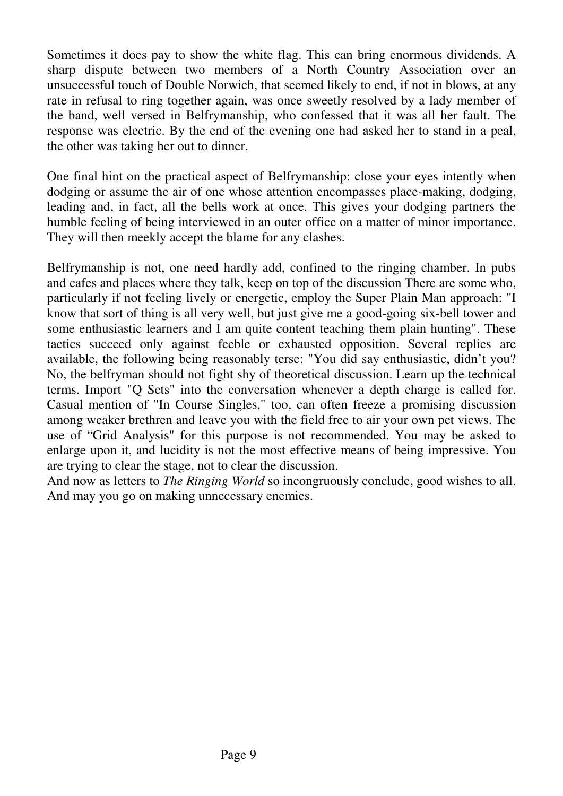Sometimes it does pay to show the white flag. This can bring enormous dividends. A sharp dispute between two members of a North Country Association over an unsuccessful touch of Double Norwich, that seemed likely to end, if not in blows, at any rate in refusal to ring together again, was once sweetly resolved by a lady member of the band, well versed in Belfrymanship, who confessed that it was all her fault. The response was electric. By the end of the evening one had asked her to stand in a peal, the other was taking her out to dinner.

One final hint on the practical aspect of Belfrymanship: close your eyes intently when dodging or assume the air of one whose attention encompasses place-making, dodging, leading and, in fact, all the bells work at once. This gives your dodging partners the humble feeling of being interviewed in an outer office on a matter of minor importance. They will then meekly accept the blame for any clashes.

Belfrymanship is not, one need hardly add, confined to the ringing chamber. In pubs and cafes and places where they talk, keep on top of the discussion There are some who, particularly if not feeling lively or energetic, employ the Super Plain Man approach: "I know that sort of thing is all very well, but just give me a good-going six-bell tower and some enthusiastic learners and I am quite content teaching them plain hunting". These tactics succeed only against feeble or exhausted opposition. Several replies are available, the following being reasonably terse: "You did say enthusiastic, didn't you? No, the belfryman should not fight shy of theoretical discussion. Learn up the technical terms. Import "Q Sets" into the conversation whenever a depth charge is called for. Casual mention of "In Course Singles," too, can often freeze a promising discussion among weaker brethren and leave you with the field free to air your own pet views. The use of "Grid Analysis" for this purpose is not recommended. You may be asked to enlarge upon it, and lucidity is not the most effective means of being impressive. You are trying to clear the stage, not to clear the discussion.

And now as letters to *The Ringing World* so incongruously conclude, good wishes to all. And may you go on making unnecessary enemies.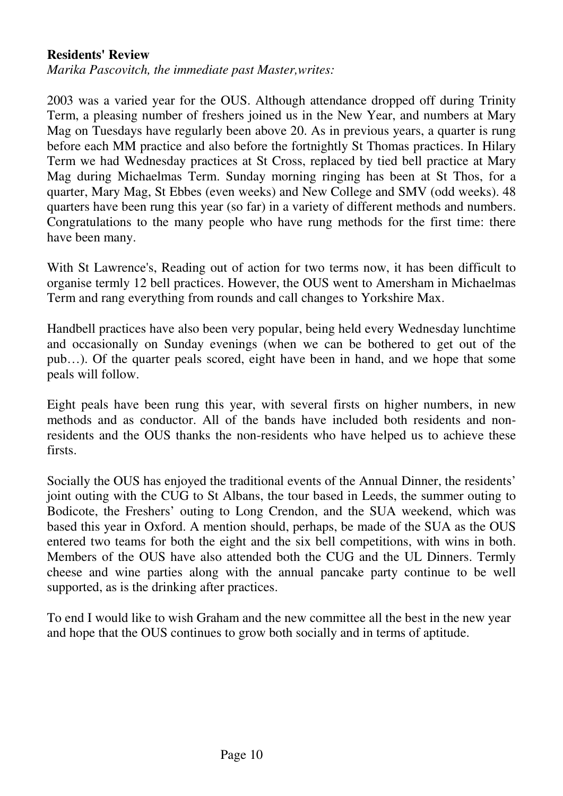#### **Residents' Review**

*Marika Pascovitch, the immediate past Master,writes:* 

2003 was a varied year for the OUS. Although attendance dropped off during Trinity Term, a pleasing number of freshers joined us in the New Year, and numbers at Mary Mag on Tuesdays have regularly been above 20. As in previous years, a quarter is rung before each MM practice and also before the fortnightly St Thomas practices. In Hilary Term we had Wednesday practices at St Cross, replaced by tied bell practice at Mary Mag during Michaelmas Term. Sunday morning ringing has been at St Thos, for a quarter, Mary Mag, St Ebbes (even weeks) and New College and SMV (odd weeks). 48 quarters have been rung this year (so far) in a variety of different methods and numbers. Congratulations to the many people who have rung methods for the first time: there have been many.

With St Lawrence's, Reading out of action for two terms now, it has been difficult to organise termly 12 bell practices. However, the OUS went to Amersham in Michaelmas Term and rang everything from rounds and call changes to Yorkshire Max.

Handbell practices have also been very popular, being held every Wednesday lunchtime and occasionally on Sunday evenings (when we can be bothered to get out of the pub…). Of the quarter peals scored, eight have been in hand, and we hope that some peals will follow.

Eight peals have been rung this year, with several firsts on higher numbers, in new methods and as conductor. All of the bands have included both residents and nonresidents and the OUS thanks the non-residents who have helped us to achieve these firsts.

Socially the OUS has enjoyed the traditional events of the Annual Dinner, the residents' joint outing with the CUG to St Albans, the tour based in Leeds, the summer outing to Bodicote, the Freshers' outing to Long Crendon, and the SUA weekend, which was based this year in Oxford. A mention should, perhaps, be made of the SUA as the OUS entered two teams for both the eight and the six bell competitions, with wins in both. Members of the OUS have also attended both the CUG and the UL Dinners. Termly cheese and wine parties along with the annual pancake party continue to be well supported, as is the drinking after practices.

To end I would like to wish Graham and the new committee all the best in the new year and hope that the OUS continues to grow both socially and in terms of aptitude.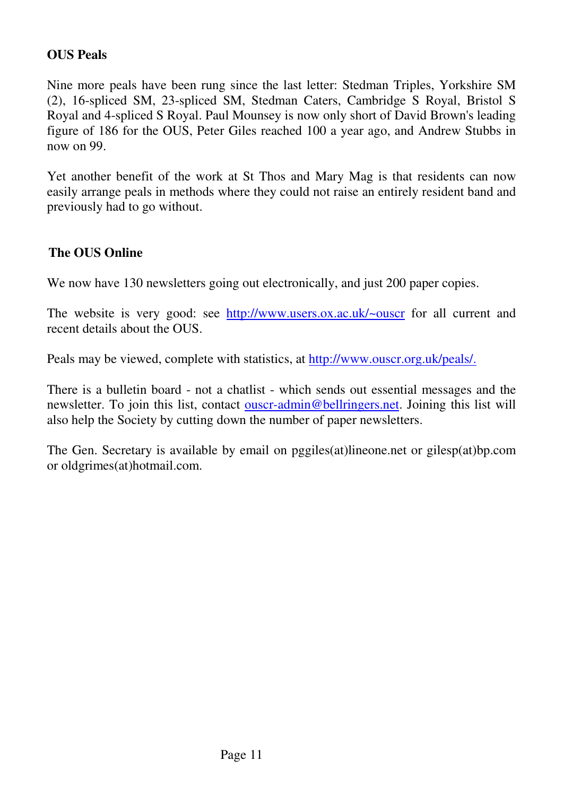# **OUS Peals**

Nine more peals have been rung since the last letter: Stedman Triples, Yorkshire SM (2), 16-spliced SM, 23-spliced SM, Stedman Caters, Cambridge S Royal, Bristol S Royal and 4-spliced S Royal. Paul Mounsey is now only short of David Brown's leading figure of 186 for the OUS, Peter Giles reached 100 a year ago, and Andrew Stubbs in now on 99.

Yet another benefit of the work at St Thos and Mary Mag is that residents can now easily arrange peals in methods where they could not raise an entirely resident band and previously had to go without.

# **The OUS Online**

We now have 130 newsletters going out electronically, and just 200 paper copies.

The website is very good: see http://www.users.ox.ac.uk/~ouscr for all current and recent details about the OUS.

Peals may be viewed, complete with statistics, at http://www.ouscr.org.uk/peals/.

There is a bulletin board - not a chatlist - which sends out essential messages and the newsletter. To join this list, contact ouscr-admin@bellringers.net. Joining this list will also help the Society by cutting down the number of paper newsletters.

The Gen. Secretary is available by email on pggiles(at)lineone.net or gilesp(at)bp.com or oldgrimes(at)hotmail.com.